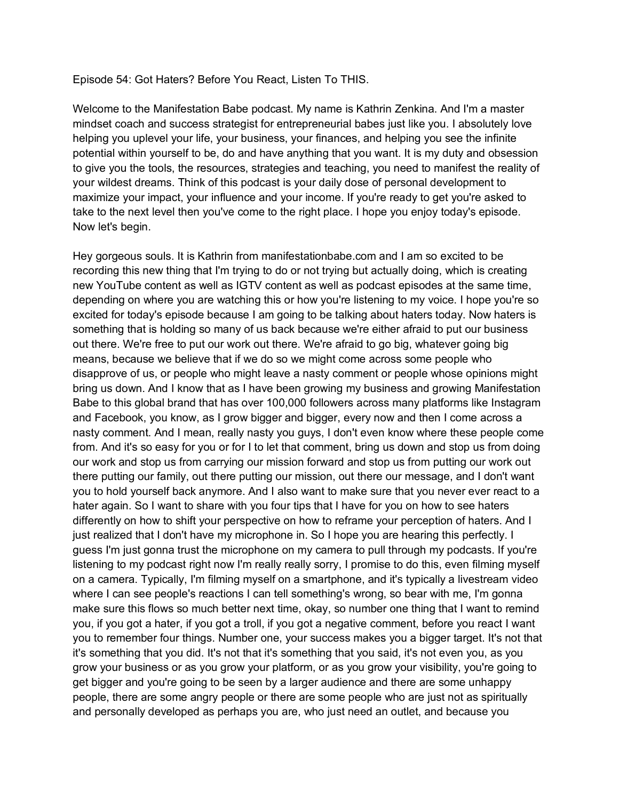## Episode 54: Got Haters? Before You React, Listen To THIS.

Welcome to the Manifestation Babe podcast. My name is Kathrin Zenkina. And I'm a master mindset coach and success strategist for entrepreneurial babes just like you. I absolutely love helping you uplevel your life, your business, your finances, and helping you see the infinite potential within yourself to be, do and have anything that you want. It is my duty and obsession to give you the tools, the resources, strategies and teaching, you need to manifest the reality of your wildest dreams. Think of this podcast is your daily dose of personal development to maximize your impact, your influence and your income. If you're ready to get you're asked to take to the next level then you've come to the right place. I hope you enjoy today's episode. Now let's begin.

Hey gorgeous souls. It is Kathrin from manifestationbabe.com and I am so excited to be recording this new thing that I'm trying to do or not trying but actually doing, which is creating new YouTube content as well as IGTV content as well as podcast episodes at the same time, depending on where you are watching this or how you're listening to my voice. I hope you're so excited for today's episode because I am going to be talking about haters today. Now haters is something that is holding so many of us back because we're either afraid to put our business out there. We're free to put our work out there. We're afraid to go big, whatever going big means, because we believe that if we do so we might come across some people who disapprove of us, or people who might leave a nasty comment or people whose opinions might bring us down. And I know that as I have been growing my business and growing Manifestation Babe to this global brand that has over 100,000 followers across many platforms like Instagram and Facebook, you know, as I grow bigger and bigger, every now and then I come across a nasty comment. And I mean, really nasty you guys, I don't even know where these people come from. And it's so easy for you or for I to let that comment, bring us down and stop us from doing our work and stop us from carrying our mission forward and stop us from putting our work out there putting our family, out there putting our mission, out there our message, and I don't want you to hold yourself back anymore. And I also want to make sure that you never ever react to a hater again. So I want to share with you four tips that I have for you on how to see haters differently on how to shift your perspective on how to reframe your perception of haters. And I just realized that I don't have my microphone in. So I hope you are hearing this perfectly. I guess I'm just gonna trust the microphone on my camera to pull through my podcasts. If you're listening to my podcast right now I'm really really sorry, I promise to do this, even filming myself on a camera. Typically, I'm filming myself on a smartphone, and it's typically a livestream video where I can see people's reactions I can tell something's wrong, so bear with me, I'm gonna make sure this flows so much better next time, okay, so number one thing that I want to remind you, if you got a hater, if you got a troll, if you got a negative comment, before you react I want you to remember four things. Number one, your success makes you a bigger target. It's not that it's something that you did. It's not that it's something that you said, it's not even you, as you grow your business or as you grow your platform, or as you grow your visibility, you're going to get bigger and you're going to be seen by a larger audience and there are some unhappy people, there are some angry people or there are some people who are just not as spiritually and personally developed as perhaps you are, who just need an outlet, and because you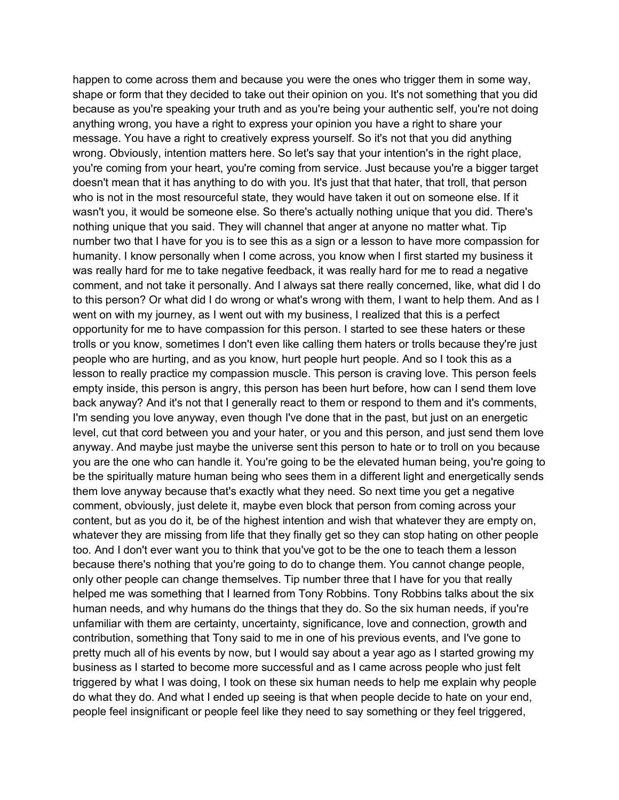happen to come across them and because you were the ones who trigger them in some way, shape or form that they decided to take out their opinion on you. It's not something that you did because as you're speaking your truth and as you're being your authentic self, you're not doing anything wrong, you have a right to express your opinion you have a right to share your message. You have a right to creatively express yourself. So it's not that you did anything wrong. Obviously, intention matters here. So let's say that your intention's in the right place, you're coming from your heart, you're coming from service. Just because you're a bigger target doesn't mean that it has anything to do with you. It's just that that hater, that troll, that person who is not in the most resourceful state, they would have taken it out on someone else. If it wasn't you, it would be someone else. So there's actually nothing unique that you did. There's nothing unique that you said. They will channel that anger at anyone no matter what. Tip number two that I have for you is to see this as a sign or a lesson to have more compassion for humanity. I know personally when I come across, you know when I first started my business it was really hard for me to take negative feedback, it was really hard for me to read a negative comment, and not take it personally. And I always sat there really concerned, like, what did I do to this person? Or what did I do wrong or what's wrong with them, I want to help them. And as I went on with my journey, as I went out with my business, I realized that this is a perfect opportunity for me to have compassion for this person. I started to see these haters or these trolls or you know, sometimes I don't even like calling them haters or trolls because they're just people who are hurting, and as you know, hurt people hurt people. And so I took this as a lesson to really practice my compassion muscle. This person is craving love. This person feels empty inside, this person is angry, this person has been hurt before, how can I send them love back anyway? And it's not that I generally react to them or respond to them and it's comments, I'm sending you love anyway, even though I've done that in the past, but just on an energetic level, cut that cord between you and your hater, or you and this person, and just send them love anyway. And maybe just maybe the universe sent this person to hate or to troll on you because you are the one who can handle it. You're going to be the elevated human being, you're going to be the spiritually mature human being who sees them in a different light and energetically sends them love anyway because that's exactly what they need. So next time you get a negative comment, obviously, just delete it, maybe even block that person from coming across your content, but as you do it, be of the highest intention and wish that whatever they are empty on, whatever they are missing from life that they finally get so they can stop hating on other people too. And I don't ever want you to think that you've got to be the one to teach them a lesson because there's nothing that you're going to do to change them. You cannot change people, only other people can change themselves. Tip number three that I have for you that really helped me was something that I learned from Tony Robbins. Tony Robbins talks about the six human needs, and why humans do the things that they do. So the six human needs, if you're unfamiliar with them are certainty, uncertainty, significance, love and connection, growth and contribution, something that Tony said to me in one of his previous events, and I've gone to pretty much all of his events by now, but I would say about a year ago as I started growing my business as I started to become more successful and as I came across people who just felt triggered by what I was doing, I took on these six human needs to help me explain why people do what they do. And what I ended up seeing is that when people decide to hate on your end, people feel insignificant or people feel like they need to say something or they feel triggered,